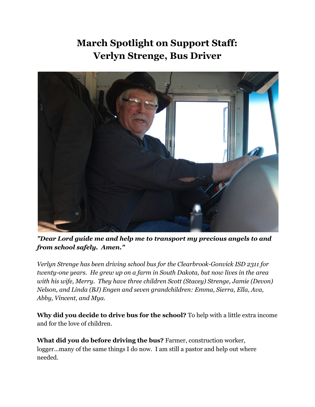## **March Spotlight on Support Staff: Verlyn Strenge, Bus Driver**



*"Dear Lord guide me and help me to transport my precious angels to and from school safely. Amen."*

*Verlyn Strenge has been driving school bus for the Clearbrook-Gonvick ISD* 2311 *for twenty-one years. He grew up on a farm in South Dakota, but now lives in the area with his wife, Merry. They have three children Scott (Stacey) Strenge, Jamie (Devon) Nelson, and Linda (BJ) Engen and seven grandchildren: Emma, Sierra, Ella, Ava, Abby, Vincent, and Mya.*

**Why did you decide to drive bus for the school?** To help with a little extra income and for the love of children.

**What did you do before driving the bus?** Farmer, construction worker, logger...many of the same things I do now. I am still a pastor and help out where needed.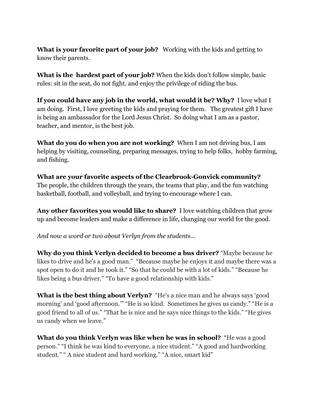**What is your favorite part of your job?** Working with the kids and getting to know their parents.

**What is the hardest part of your job?** When the kids don't follow simple, basic rules: sit in the seat, do not fight, and enjoy the privilege of riding the bus.

**If you could have any job in the world, what would it be? Why?** I love what I am doing. First, I love greeting the kids and praying for them. The greatest gift I have is being an ambassador for the Lord Jesus Christ. So doing what I am as a pastor, teacher, and mentor, is the best job.

**What do you do when you are not working?** When I am not driving bus, I am helping by visiting, counseling, preparing messages, trying to help folks, hobby farming, and fishing.

**What are your favorite aspects of the ClearbrookGonvick community?** The people, the children through the years, the teams that play, and the fun watching basketball, football, and volleyball, and trying to encourage where I can.

**Any other favorites you would like to share?** I love watching children that grow up and become leaders and make a difference in life, changing our world for the good.

*And now a word or two about Verlyn from the students…*

**Why do you think Verlyn decided to become a bus driver?**"Maybe because he likes to drive and he's a good man." "Because maybe he enjoys it and maybe there was a spot open to do it and he took it." "So that he could be with a lot of kids." "Because he likes being a bus driver." "To have a good relationship with kids."

**What is the best thing about Verlyn?**"He's a nice man and he always says 'good morning' and 'good afternoon.'" "He is so kind. Sometimes he gives us candy." "He is a good friend to all of us." "That he is nice and he says nice things to the kids." "He gives us candy when we leave."

**What do you think Verlyn was like when he was in school?** "He was a good person." "I think he was kind to everyone, a nice student." "A good and hardworking student." " A nice student and hard working." "A nice, smart kid"